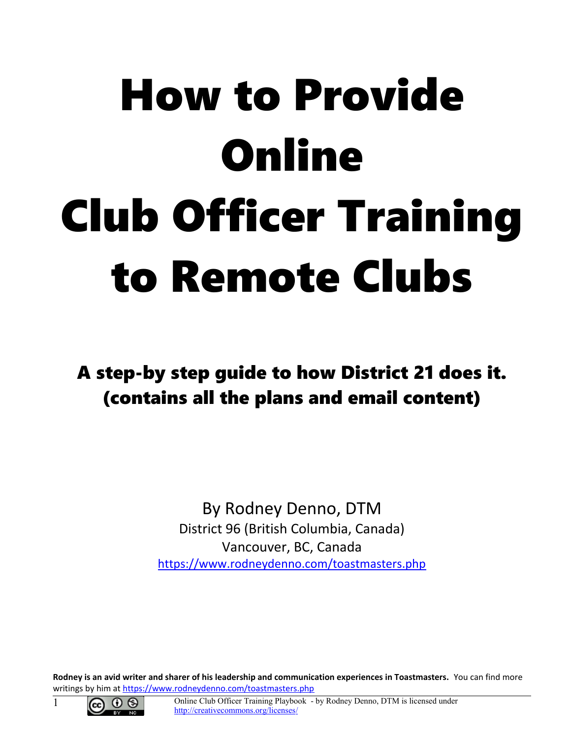# How to Provide **Online** Club Officer Training to Remote Clubs

A step-by step guide to how District 21 does it. (contains all the plans and email content)

> By Rodney Denno, DTM District 96 (British Columbia, Canada) Vancouver, BC, Canada <https://www.rodneydenno.com/toastmasters.php>

**Rodney is an avid writer and sharer of his leadership and communication experiences in Toastmasters.** You can find more writings by him at<https://www.rodneydenno.com/toastmasters.php>



1 Online Club Officer Training Playbook - by Rodney Denno, DTM is licensed under <http://creativecommons.org/licenses/>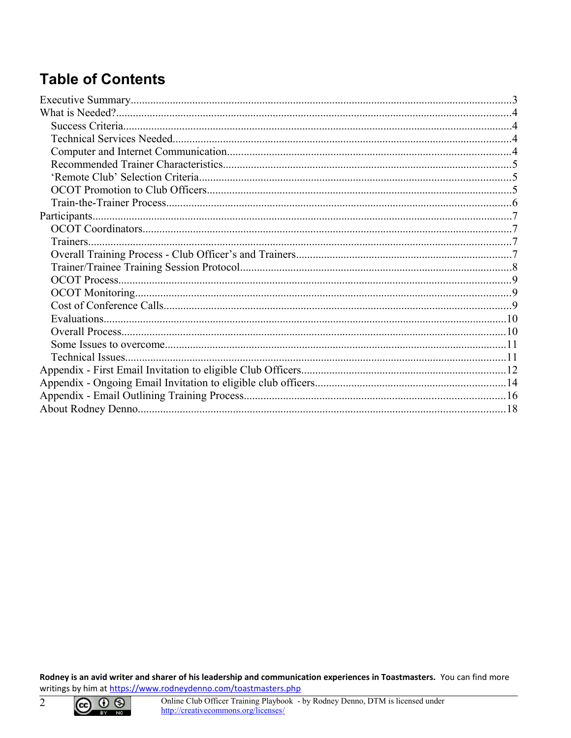# **Table of Contents**

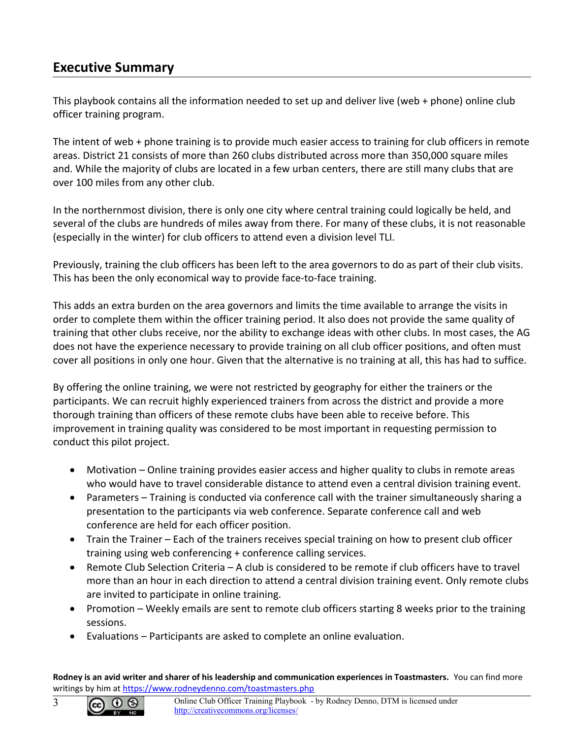# <span id="page-2-0"></span>**Executive Summary**

This playbook contains all the information needed to set up and deliver live (web + phone) online club officer training program.

The intent of web + phone training is to provide much easier access to training for club officers in remote areas. District 21 consists of more than 260 clubs distributed across more than 350,000 square miles and. While the majority of clubs are located in a few urban centers, there are still many clubs that are over 100 miles from any other club.

In the northernmost division, there is only one city where central training could logically be held, and several of the clubs are hundreds of miles away from there. For many of these clubs, it is not reasonable (especially in the winter) for club officers to attend even a division level TLI.

Previously, training the club officers has been left to the area governors to do as part of their club visits. This has been the only economical way to provide face-to-face training.

This adds an extra burden on the area governors and limits the time available to arrange the visits in order to complete them within the officer training period. It also does not provide the same quality of training that other clubs receive, nor the ability to exchange ideas with other clubs. In most cases, the AG does not have the experience necessary to provide training on all club officer positions, and often must cover all positions in only one hour. Given that the alternative is no training at all, this has had to suffice.

By offering the online training, we were not restricted by geography for either the trainers or the participants. We can recruit highly experienced trainers from across the district and provide a more thorough training than officers of these remote clubs have been able to receive before. This improvement in training quality was considered to be most important in requesting permission to conduct this pilot project.

- Motivation Online training provides easier access and higher quality to clubs in remote areas who would have to travel considerable distance to attend even a central division training event.
- Parameters Training is conducted via conference call with the trainer simultaneously sharing a presentation to the participants via web conference. Separate conference call and web conference are held for each officer position.
- Train the Trainer Each of the trainers receives special training on how to present club officer training using web conferencing + conference calling services.
- Remote Club Selection Criteria A club is considered to be remote if club officers have to travel more than an hour in each direction to attend a central division training event. Only remote clubs are invited to participate in online training.
- Promotion Weekly emails are sent to remote club officers starting 8 weeks prior to the training sessions.
- Evaluations Participants are asked to complete an online evaluation.

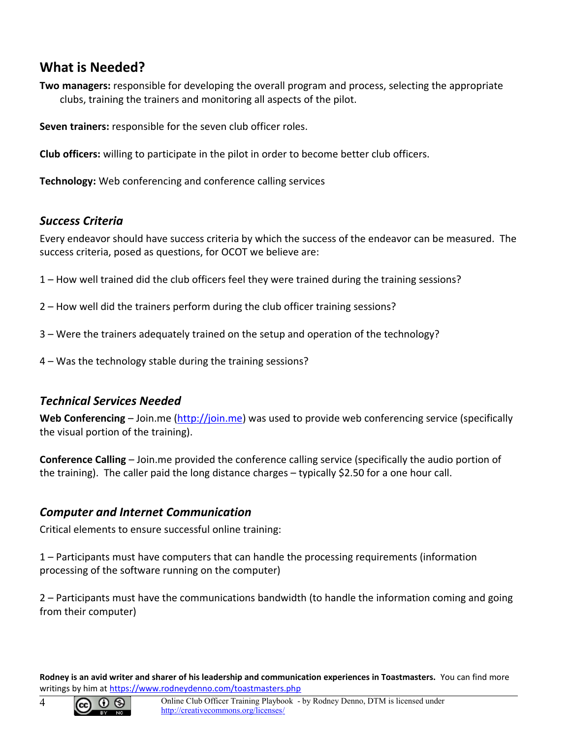# <span id="page-3-3"></span>**What is Needed?**

**Two managers:** responsible for developing the overall program and process, selecting the appropriate clubs, training the trainers and monitoring all aspects of the pilot.

**Seven trainers:** responsible for the seven club officer roles.

**Club officers:** willing to participate in the pilot in order to become better club officers.

**Technology:** Web conferencing and conference calling services

## <span id="page-3-2"></span>*Success Criteria*

Every endeavor should have success criteria by which the success of the endeavor can be measured. The success criteria, posed as questions, for OCOT we believe are:

- 1 How well trained did the club officers feel they were trained during the training sessions?
- 2 How well did the trainers perform during the club officer training sessions?
- 3 Were the trainers adequately trained on the setup and operation of the technology?
- 4 Was the technology stable during the training sessions?

## <span id="page-3-1"></span>*Technical Services Needed*

**Web Conferencing** – Join.me [\(http://join.me\)](http://join.me/) was used to provide web conferencing service (specifically the visual portion of the training).

**Conference Calling** – Join.me provided the conference calling service (specifically the audio portion of the training). The caller paid the long distance charges – typically \$2.50 for a one hour call.

## <span id="page-3-0"></span>*Computer and Internet Communication*

Critical elements to ensure successful online training:

1 – Participants must have computers that can handle the processing requirements (information processing of the software running on the computer)

2 – Participants must have the communications bandwidth (to handle the information coming and going from their computer)

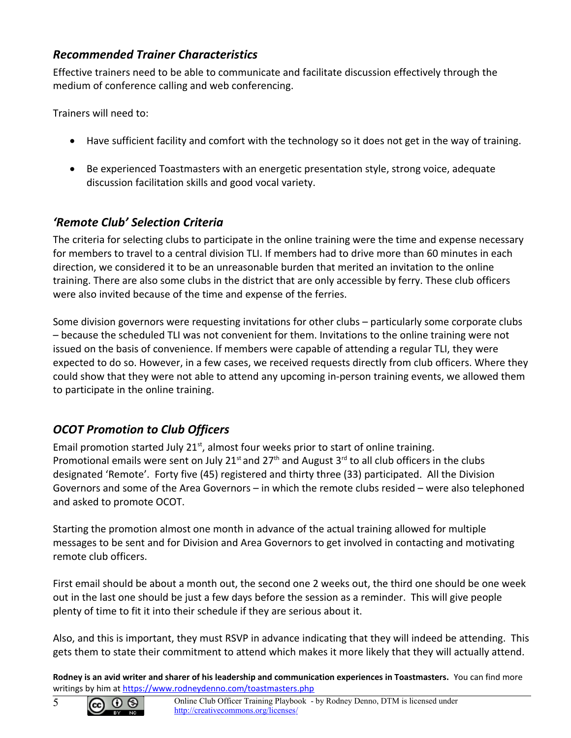## <span id="page-4-2"></span>*Recommended Trainer Characteristics*

Effective trainers need to be able to communicate and facilitate discussion effectively through the medium of conference calling and web conferencing.

Trainers will need to:

- Have sufficient facility and comfort with the technology so it does not get in the way of training.
- Be experienced Toastmasters with an energetic presentation style, strong voice, adequate discussion facilitation skills and good vocal variety.

# <span id="page-4-1"></span>*'Remote Club' Selection Criteria*

The criteria for selecting clubs to participate in the online training were the time and expense necessary for members to travel to a central division TLI. If members had to drive more than 60 minutes in each direction, we considered it to be an unreasonable burden that merited an invitation to the online training. There are also some clubs in the district that are only accessible by ferry. These club officers were also invited because of the time and expense of the ferries.

Some division governors were requesting invitations for other clubs – particularly some corporate clubs – because the scheduled TLI was not convenient for them. Invitations to the online training were not issued on the basis of convenience. If members were capable of attending a regular TLI, they were expected to do so. However, in a few cases, we received requests directly from club officers. Where they could show that they were not able to attend any upcoming in-person training events, we allowed them to participate in the online training.

# <span id="page-4-0"></span>*OCOT Promotion to Club Officers*

Email promotion started July 21 $<sup>st</sup>$ , almost four weeks prior to start of online training.</sup> Promotional emails were sent on July 21<sup>st</sup> and 27<sup>th</sup> and August 3<sup>rd</sup> to all club officers in the clubs designated 'Remote'. Forty five (45) registered and thirty three (33) participated. All the Division Governors and some of the Area Governors – in which the remote clubs resided – were also telephoned and asked to promote OCOT.

Starting the promotion almost one month in advance of the actual training allowed for multiple messages to be sent and for Division and Area Governors to get involved in contacting and motivating remote club officers.

First email should be about a month out, the second one 2 weeks out, the third one should be one week out in the last one should be just a few days before the session as a reminder. This will give people plenty of time to fit it into their schedule if they are serious about it.

Also, and this is important, they must RSVP in advance indicating that they will indeed be attending. This gets them to state their commitment to attend which makes it more likely that they will actually attend.

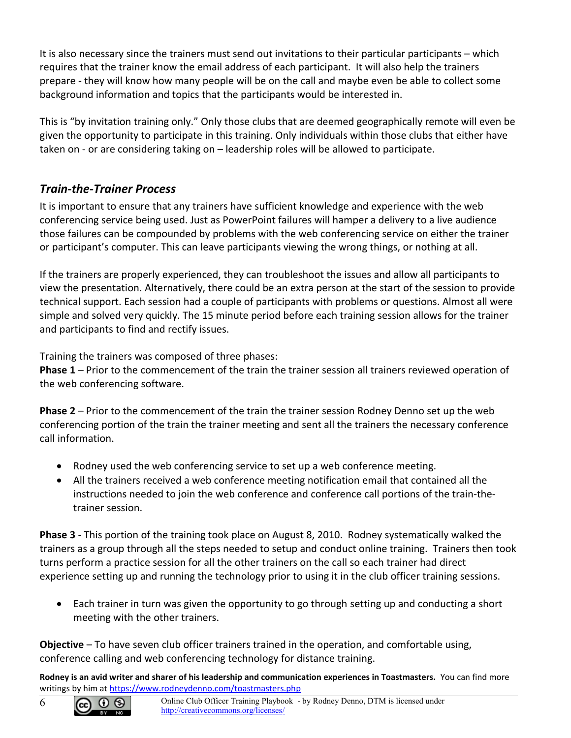It is also necessary since the trainers must send out invitations to their particular participants – which requires that the trainer know the email address of each participant. It will also help the trainers prepare - they will know how many people will be on the call and maybe even be able to collect some background information and topics that the participants would be interested in.

This is "by invitation training only." Only those clubs that are deemed geographically remote will even be given the opportunity to participate in this training. Only individuals within those clubs that either have taken on - or are considering taking on – leadership roles will be allowed to participate.

## <span id="page-5-0"></span>*Train-the-Trainer Process*

It is important to ensure that any trainers have sufficient knowledge and experience with the web conferencing service being used. Just as PowerPoint failures will hamper a delivery to a live audience those failures can be compounded by problems with the web conferencing service on either the trainer or participant's computer. This can leave participants viewing the wrong things, or nothing at all.

If the trainers are properly experienced, they can troubleshoot the issues and allow all participants to view the presentation. Alternatively, there could be an extra person at the start of the session to provide technical support. Each session had a couple of participants with problems or questions. Almost all were simple and solved very quickly. The 15 minute period before each training session allows for the trainer and participants to find and rectify issues.

Training the trainers was composed of three phases:

**Phase 1** – Prior to the commencement of the train the trainer session all trainers reviewed operation of the web conferencing software.

**Phase 2** – Prior to the commencement of the train the trainer session Rodney Denno set up the web conferencing portion of the train the trainer meeting and sent all the trainers the necessary conference call information.

- Rodney used the web conferencing service to set up a web conference meeting.
- All the trainers received a web conference meeting notification email that contained all the instructions needed to join the web conference and conference call portions of the train-thetrainer session.

**Phase 3** - This portion of the training took place on August 8, 2010. Rodney systematically walked the trainers as a group through all the steps needed to setup and conduct online training. Trainers then took turns perform a practice session for all the other trainers on the call so each trainer had direct experience setting up and running the technology prior to using it in the club officer training sessions.

 Each trainer in turn was given the opportunity to go through setting up and conducting a short meeting with the other trainers.

**Objective** – To have seven club officer trainers trained in the operation, and comfortable using, conference calling and web conferencing technology for distance training.

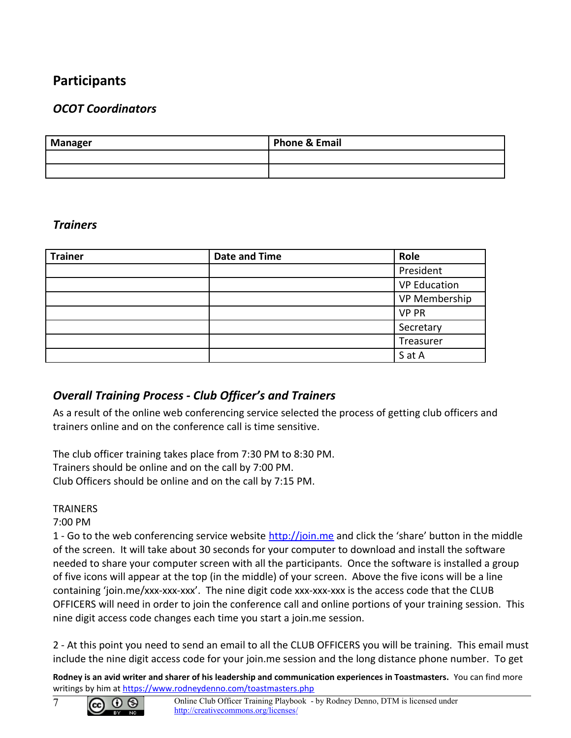# <span id="page-6-3"></span>**Participants**

## <span id="page-6-2"></span>*OCOT Coordinators*

| <b>Manager</b> | <b>Phone &amp; Email</b> |
|----------------|--------------------------|
|                |                          |
|                |                          |

#### <span id="page-6-1"></span>*Trainers*

| <b>Trainer</b> | <b>Date and Time</b> | Role                |
|----------------|----------------------|---------------------|
|                |                      | President           |
|                |                      | <b>VP Education</b> |
|                |                      | VP Membership       |
|                |                      | <b>VP PR</b>        |
|                |                      | Secretary           |
|                |                      | Treasurer           |
|                |                      | S at A              |

## <span id="page-6-0"></span>*Overall Training Process - Club Officer's and Trainers*

As a result of the online web conferencing service selected the process of getting club officers and trainers online and on the conference call is time sensitive.

The club officer training takes place from 7:30 PM to 8:30 PM. Trainers should be online and on the call by 7:00 PM. Club Officers should be online and on the call by 7:15 PM.

#### **TRAINERS**

#### 7:00 PM

1 - Go to the web conferencing service website [http://join.me](http://join.me/) and click the 'share' button in the middle of the screen. It will take about 30 seconds for your computer to download and install the software needed to share your computer screen with all the participants. Once the software is installed a group of five icons will appear at the top (in the middle) of your screen. Above the five icons will be a line containing 'join.me/xxx-xxx-xxx'. The nine digit code xxx-xxx-xxx is the access code that the CLUB OFFICERS will need in order to join the conference call and online portions of your training session. This nine digit access code changes each time you start a join.me session.

2 - At this point you need to send an email to all the CLUB OFFICERS you will be training. This email must include the nine digit access code for your join.me session and the long distance phone number. To get

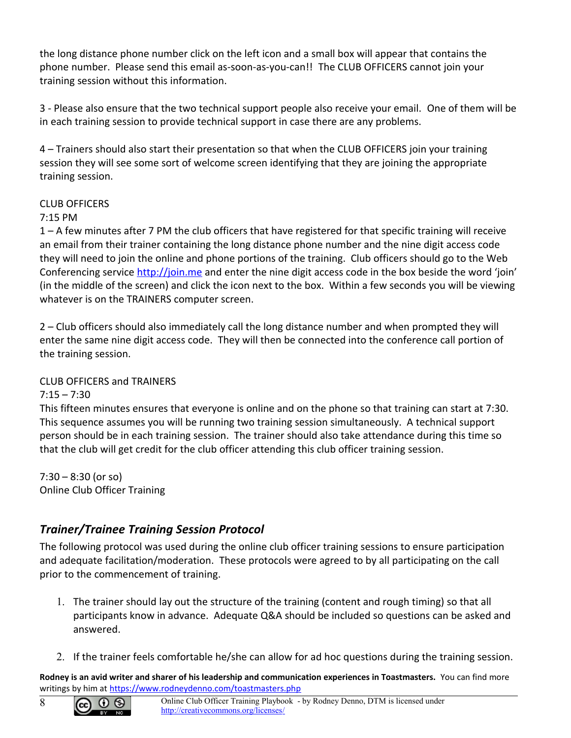the long distance phone number click on the left icon and a small box will appear that contains the phone number. Please send this email as-soon-as-you-can!! The CLUB OFFICERS cannot join your training session without this information.

3 - Please also ensure that the two technical support people also receive your email. One of them will be in each training session to provide technical support in case there are any problems.

4 – Trainers should also start their presentation so that when the CLUB OFFICERS join your training session they will see some sort of welcome screen identifying that they are joining the appropriate training session.

#### CLUB OFFICERS

#### 7:15 PM

1 – A few minutes after 7 PM the club officers that have registered for that specific training will receive an email from their trainer containing the long distance phone number and the nine digit access code they will need to join the online and phone portions of the training. Club officers should go to the Web Conferencing service [http://join.me](http://join.me/) and enter the nine digit access code in the box beside the word 'join' (in the middle of the screen) and click the icon next to the box. Within a few seconds you will be viewing whatever is on the TRAINERS computer screen.

2 – Club officers should also immediately call the long distance number and when prompted they will enter the same nine digit access code. They will then be connected into the conference call portion of the training session.

#### CLUB OFFICERS and TRAINERS

 $7:15 - 7:30$ 

This fifteen minutes ensures that everyone is online and on the phone so that training can start at 7:30. This sequence assumes you will be running two training session simultaneously. A technical support person should be in each training session. The trainer should also take attendance during this time so that the club will get credit for the club officer attending this club officer training session.

7:30 – 8:30 (or so) Online Club Officer Training

## <span id="page-7-0"></span>*Trainer/Trainee Training Session Protocol*

The following protocol was used during the online club officer training sessions to ensure participation and adequate facilitation/moderation. These protocols were agreed to by all participating on the call prior to the commencement of training.

- 1. The trainer should lay out the structure of the training (content and rough timing) so that all participants know in advance. Adequate Q&A should be included so questions can be asked and answered.
- 2. If the trainer feels comfortable he/she can allow for ad hoc questions during the training session.



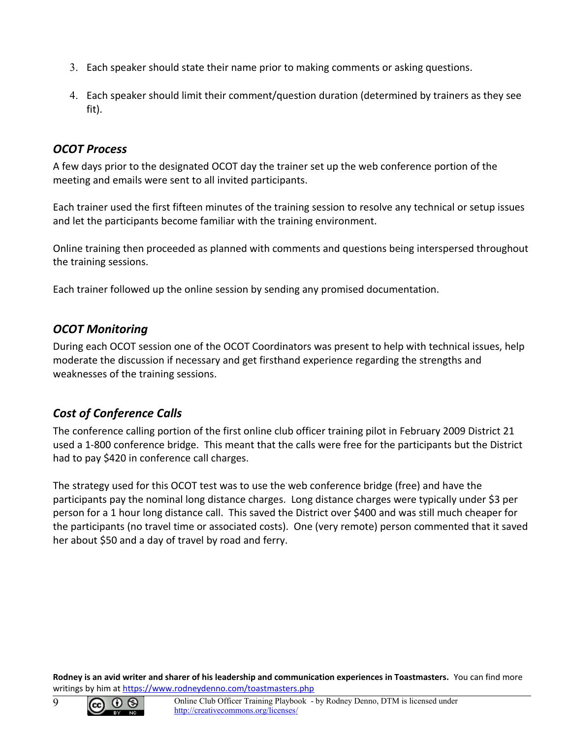- 3. Each speaker should state their name prior to making comments or asking questions.
- 4. Each speaker should limit their comment/question duration (determined by trainers as they see fit).

#### <span id="page-8-2"></span>*OCOT Process*

A few days prior to the designated OCOT day the trainer set up the web conference portion of the meeting and emails were sent to all invited participants.

Each trainer used the first fifteen minutes of the training session to resolve any technical or setup issues and let the participants become familiar with the training environment.

Online training then proceeded as planned with comments and questions being interspersed throughout the training sessions.

Each trainer followed up the online session by sending any promised documentation.

## <span id="page-8-1"></span>*OCOT Monitoring*

During each OCOT session one of the OCOT Coordinators was present to help with technical issues, help moderate the discussion if necessary and get firsthand experience regarding the strengths and weaknesses of the training sessions.

## <span id="page-8-0"></span>*Cost of Conference Calls*

The conference calling portion of the first online club officer training pilot in February 2009 District 21 used a 1-800 conference bridge. This meant that the calls were free for the participants but the District had to pay \$420 in conference call charges.

The strategy used for this OCOT test was to use the web conference bridge (free) and have the participants pay the nominal long distance charges. Long distance charges were typically under \$3 per person for a 1 hour long distance call. This saved the District over \$400 and was still much cheaper for the participants (no travel time or associated costs). One (very remote) person commented that it saved her about \$50 and a day of travel by road and ferry.

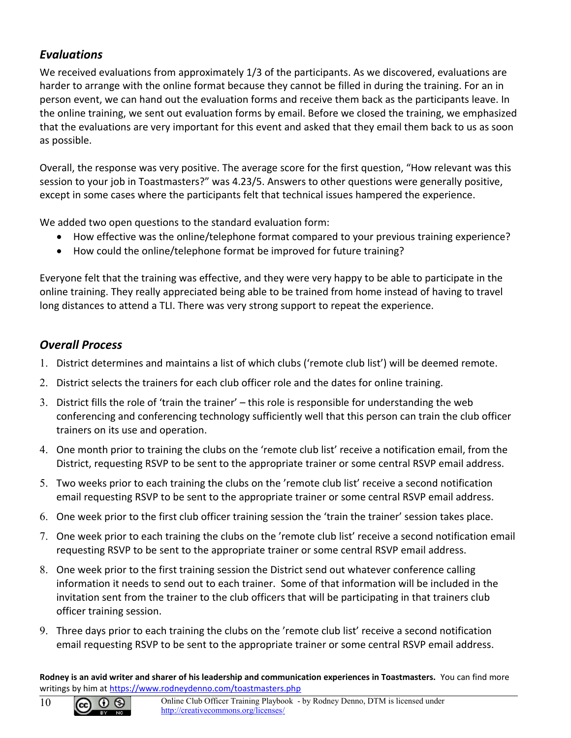## <span id="page-9-1"></span>*Evaluations*

We received evaluations from approximately 1/3 of the participants. As we discovered, evaluations are harder to arrange with the online format because they cannot be filled in during the training. For an in person event, we can hand out the evaluation forms and receive them back as the participants leave. In the online training, we sent out evaluation forms by email. Before we closed the training, we emphasized that the evaluations are very important for this event and asked that they email them back to us as soon as possible.

Overall, the response was very positive. The average score for the first question, "How relevant was this session to your job in Toastmasters?" was 4.23/5. Answers to other questions were generally positive, except in some cases where the participants felt that technical issues hampered the experience.

We added two open questions to the standard evaluation form:

- How effective was the online/telephone format compared to your previous training experience?
- How could the online/telephone format be improved for future training?

Everyone felt that the training was effective, and they were very happy to be able to participate in the online training. They really appreciated being able to be trained from home instead of having to travel long distances to attend a TLI. There was very strong support to repeat the experience.

## <span id="page-9-0"></span>*Overall Process*

- 1. District determines and maintains a list of which clubs ('remote club list') will be deemed remote.
- 2. District selects the trainers for each club officer role and the dates for online training.
- 3. District fills the role of 'train the trainer' this role is responsible for understanding the web conferencing and conferencing technology sufficiently well that this person can train the club officer trainers on its use and operation.
- 4. One month prior to training the clubs on the 'remote club list' receive a notification email, from the District, requesting RSVP to be sent to the appropriate trainer or some central RSVP email address.
- 5. Two weeks prior to each training the clubs on the 'remote club list' receive a second notification email requesting RSVP to be sent to the appropriate trainer or some central RSVP email address.
- 6. One week prior to the first club officer training session the 'train the trainer' session takes place.
- 7. One week prior to each training the clubs on the 'remote club list' receive a second notification email requesting RSVP to be sent to the appropriate trainer or some central RSVP email address.
- 8. One week prior to the first training session the District send out whatever conference calling information it needs to send out to each trainer. Some of that information will be included in the invitation sent from the trainer to the club officers that will be participating in that trainers club officer training session.
- 9. Three days prior to each training the clubs on the 'remote club list' receive a second notification email requesting RSVP to be sent to the appropriate trainer or some central RSVP email address.

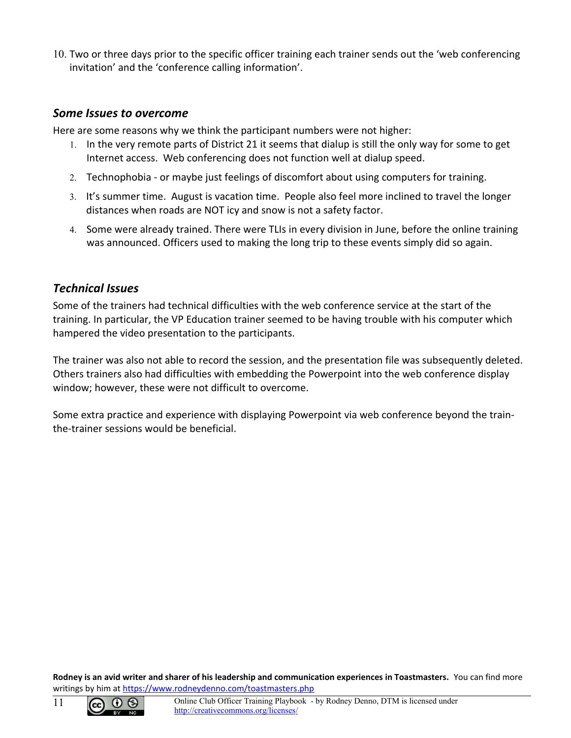10. Two or three days prior to the specific officer training each trainer sends out the 'web conferencing invitation' and the 'conference calling information'.

#### <span id="page-10-1"></span>*Some Issues to overcome*

Here are some reasons why we think the participant numbers were not higher:

- 1. In the very remote parts of District 21 it seems that dialup is still the only way for some to get Internet access. Web conferencing does not function well at dialup speed.
- 2. Technophobia or maybe just feelings of discomfort about using computers for training.
- 3. It's summer time. August is vacation time. People also feel more inclined to travel the longer distances when roads are NOT icy and snow is not a safety factor.
- 4. Some were already trained. There were TLIs in every division in June, before the online training was announced. Officers used to making the long trip to these events simply did so again.

#### <span id="page-10-0"></span>*Technical Issues*

Some of the trainers had technical difficulties with the web conference service at the start of the training. In particular, the VP Education trainer seemed to be having trouble with his computer which hampered the video presentation to the participants.

The trainer was also not able to record the session, and the presentation file was subsequently deleted. Others trainers also had difficulties with embedding the Powerpoint into the web conference display window; however, these were not difficult to overcome.

Some extra practice and experience with displaying Powerpoint via web conference beyond the trainthe-trainer sessions would be beneficial.

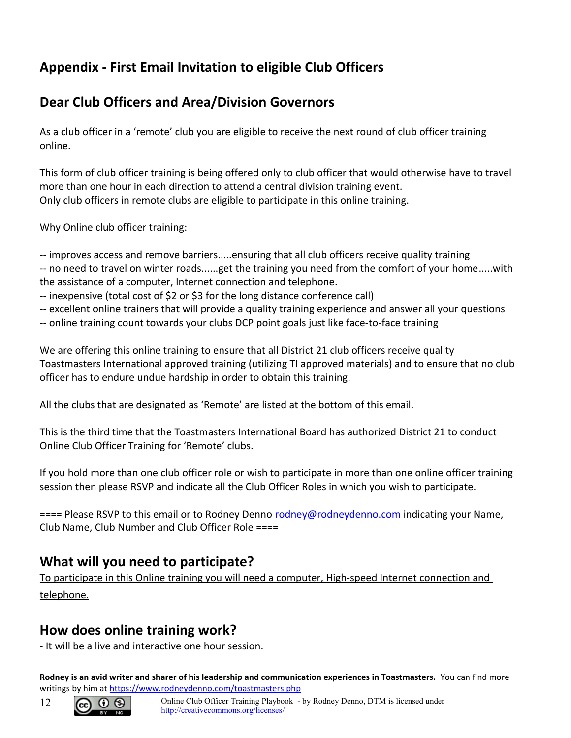# <span id="page-11-0"></span>**Appendix - First Email Invitation to eligible Club Officers**

# **Dear Club Officers and Area/Division Governors**

As a club officer in a 'remote' club you are eligible to receive the next round of club officer training online.

This form of club officer training is being offered only to club officer that would otherwise have to travel more than one hour in each direction to attend a central division training event. Only club officers in remote clubs are eligible to participate in this online training.

Why Online club officer training:

-- improves access and remove barriers.....ensuring that all club officers receive quality training -- no need to travel on winter roads......get the training you need from the comfort of your home.....with

the assistance of a computer, Internet connection and telephone.

- -- inexpensive (total cost of \$2 or \$3 for the long distance conference call)
- -- excellent online trainers that will provide a quality training experience and answer all your questions
- -- online training count towards your clubs DCP point goals just like face-to-face training

We are offering this online training to ensure that all District 21 club officers receive quality Toastmasters International approved training (utilizing TI approved materials) and to ensure that no club officer has to endure undue hardship in order to obtain this training.

All the clubs that are designated as 'Remote' are listed at the bottom of this email.

This is the third time that the Toastmasters International Board has authorized District 21 to conduct Online Club Officer Training for 'Remote' clubs.

If you hold more than one club officer role or wish to participate in more than one online officer training session then please RSVP and indicate all the Club Officer Roles in which you wish to participate.

==== Please RSVP to this email or to Rodney Denno [rodney@rodneydenno.com](mailto:rodney@rodneydenno.com) indicating your Name, Club Name, Club Number and Club Officer Role ====

# **What will you need to participate?**

To participate in this Online training you will need a computer, High-speed Internet connection and telephone.

# **How does online training work?**

- It will be a live and interactive one hour session.



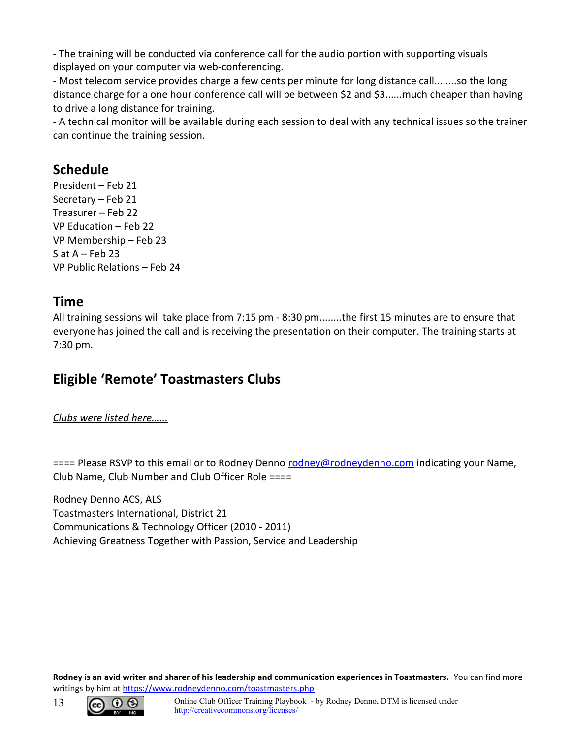- The training will be conducted via conference call for the audio portion with supporting visuals displayed on your computer via web-conferencing.

- Most telecom service provides charge a few cents per minute for long distance call........so the long distance charge for a one hour conference call will be between \$2 and \$3......much cheaper than having to drive a long distance for training.

- A technical monitor will be available during each session to deal with any technical issues so the trainer can continue the training session.

# **Schedule**

President – Feb 21 Secretary – Feb 21 Treasurer – Feb 22 VP Education – Feb 22 VP Membership – Feb 23  $S$  at A – Feb 23 VP Public Relations – Feb 24

# **Time**

All training sessions will take place from 7:15 pm - 8:30 pm........the first 15 minutes are to ensure that everyone has joined the call and is receiving the presentation on their computer. The training starts at 7:30 pm.

# **Eligible 'Remote' Toastmasters Clubs**

*Clubs were listed here…...*

==== Please RSVP to this email or to Rodney Denno [rodney@rodneydenno.com](mailto:rodney@rodneydenno.com) indicating your Name, Club Name, Club Number and Club Officer Role ====

Rodney Denno ACS, ALS Toastmasters International, District 21 Communications & Technology Officer (2010 - 2011) Achieving Greatness Together with Passion, Service and Leadership

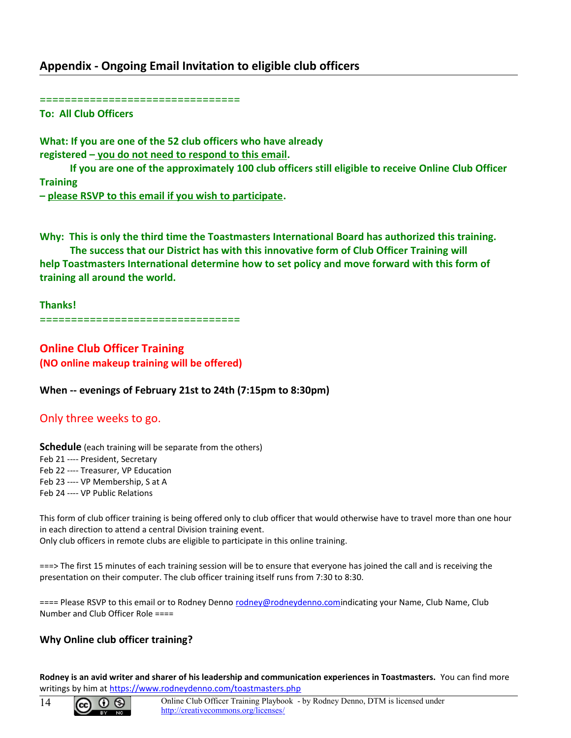#### <span id="page-13-0"></span>**Appendix - Ongoing Email Invitation to eligible club officers**

================================

**To: All Club Officers**

**What: If you are one of the 52 club officers who have already registered – you do not need to respond to this email.**

 **If you are one of the approximately 100 club officers still eligible to receive Online Club Officer Training** 

**– please RSVP to this email if you wish to participate.**

**Why: This is only the third time the Toastmasters International Board has authorized this training.**

 **The success that our District has with this innovative form of Club Officer Training will help Toastmasters International determine how to set policy and move forward with this form of training all around the world.**

**Thanks!** ================================

**Online Club Officer Training (NO online makeup training will be offered)**

**When -- evenings of February 21st to 24th (7:15pm to 8:30pm)**

Only three weeks to go.

**Schedule** (each training will be separate from the others) Feb 21 ---- President, Secretary Feb 22 ---- Treasurer, VP Education Feb 23 ---- VP Membership, S at A Feb 24 ---- VP Public Relations

This form of club officer training is being offered only to club officer that would otherwise have to travel more than one hour in each direction to attend a central Division training event. Only club officers in remote clubs are eligible to participate in this online training.

===> The first 15 minutes of each training session will be to ensure that everyone has joined the call and is receiving the presentation on their computer. The club officer training itself runs from 7:30 to 8:30.

==== Please RSVP to this email or to Rodney Denno [rodney@rodneydenno.comi](mailto:rodney@rodneydenno.com)ndicating your Name, Club Name, Club Number and Club Officer Role ====

#### **Why Online club officer training?**

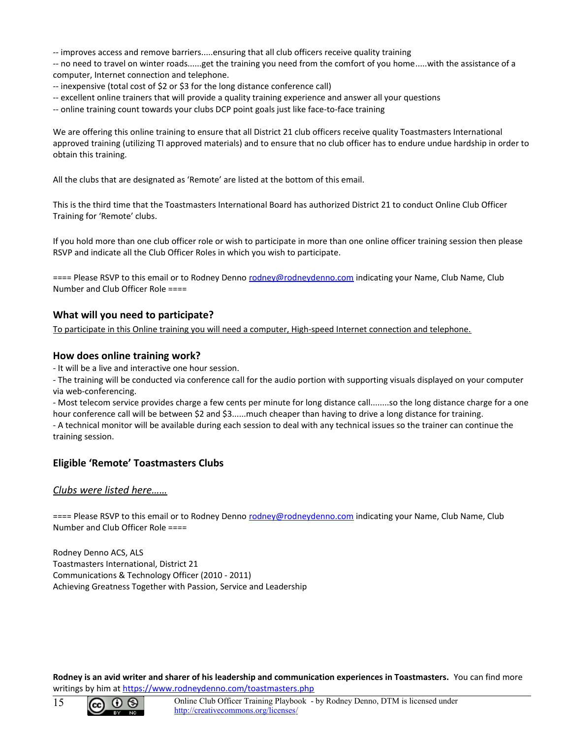-- improves access and remove barriers.....ensuring that all club officers receive quality training

-- no need to travel on winter roads......get the training you need from the comfort of you home.....with the assistance of a computer, Internet connection and telephone.

- -- inexpensive (total cost of \$2 or \$3 for the long distance conference call)
- -- excellent online trainers that will provide a quality training experience and answer all your questions
- -- online training count towards your clubs DCP point goals just like face-to-face training

We are offering this online training to ensure that all District 21 club officers receive quality Toastmasters International approved training (utilizing TI approved materials) and to ensure that no club officer has to endure undue hardship in order to obtain this training.

All the clubs that are designated as 'Remote' are listed at the bottom of this email.

This is the third time that the Toastmasters International Board has authorized District 21 to conduct Online Club Officer Training for 'Remote' clubs.

If you hold more than one club officer role or wish to participate in more than one online officer training session then please RSVP and indicate all the Club Officer Roles in which you wish to participate.

==== Please RSVP to this email or to Rodney Denno [rodney@rodneydenno.com](mailto:rodney@rodneydenno.com) indicating your Name, Club Name, Club Number and Club Officer Role ====

#### **What will you need to participate?**

To participate in this Online training you will need a computer, High-speed Internet connection and telephone.

#### **How does online training work?**

- It will be a live and interactive one hour session.

- The training will be conducted via conference call for the audio portion with supporting visuals displayed on your computer via web-conferencing.

- Most telecom service provides charge a few cents per minute for long distance call........so the long distance charge for a one hour conference call will be between \$2 and \$3......much cheaper than having to drive a long distance for training. - A technical monitor will be available during each session to deal with any technical issues so the trainer can continue the training session.

#### **Eligible 'Remote' Toastmasters Clubs**

#### *Clubs were listed here……*

==== Please RSVP to this email or to Rodney Denno [rodney@rodneydenno.com](mailto:rodney@rodneydenno.com) indicating your Name, Club Name, Club Number and Club Officer Role ====

Rodney Denno ACS, ALS Toastmasters International, District 21 Communications & Technology Officer (2010 - 2011) Achieving Greatness Together with Passion, Service and Leadership



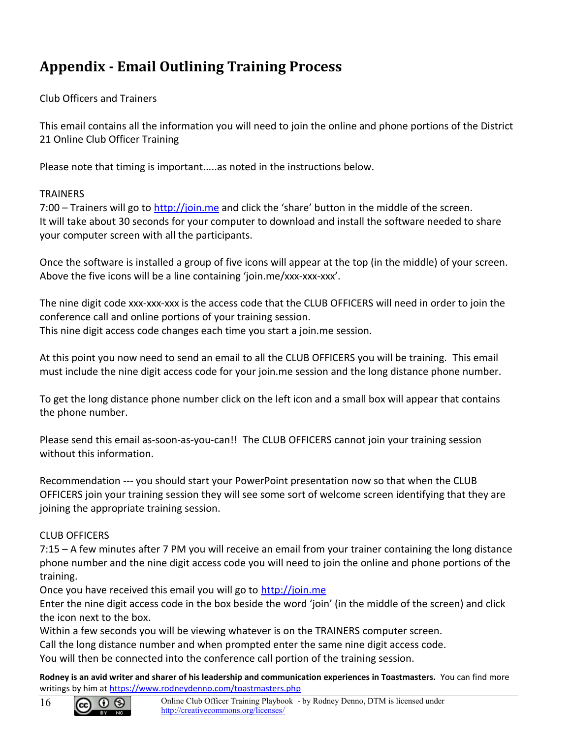# <span id="page-15-0"></span>**Appendix - Email Outlining Training Process**

#### Club Officers and Trainers

This email contains all the information you will need to join the online and phone portions of the District 21 Online Club Officer Training

Please note that timing is important.....as noted in the instructions below.

#### **TRAINERS**

7:00 – Trainers will go to [http://join.me](http://join.me/) and click the 'share' button in the middle of the screen. It will take about 30 seconds for your computer to download and install the software needed to share your computer screen with all the participants.

Once the software is installed a group of five icons will appear at the top (in the middle) of your screen. Above the five icons will be a line containing 'join.me/xxx-xxx-xxx'.

The nine digit code xxx-xxx-xxx is the access code that the CLUB OFFICERS will need in order to join the conference call and online portions of your training session. This nine digit access code changes each time you start a join.me session.

At this point you now need to send an email to all the CLUB OFFICERS you will be training. This email must include the nine digit access code for your join.me session and the long distance phone number.

To get the long distance phone number click on the left icon and a small box will appear that contains the phone number.

Please send this email as-soon-as-you-can!! The CLUB OFFICERS cannot join your training session without this information.

Recommendation --- you should start your PowerPoint presentation now so that when the CLUB OFFICERS join your training session they will see some sort of welcome screen identifying that they are joining the appropriate training session.

#### CLUB OFFICERS

7:15 – A few minutes after 7 PM you will receive an email from your trainer containing the long distance phone number and the nine digit access code you will need to join the online and phone portions of the training.

Once you have received this email you will go to [http://join.me](http://join.me/)

Enter the nine digit access code in the box beside the word 'join' (in the middle of the screen) and click the icon next to the box.

Within a few seconds you will be viewing whatever is on the TRAINERS computer screen.

Call the long distance number and when prompted enter the same nine digit access code.

You will then be connected into the conference call portion of the training session.

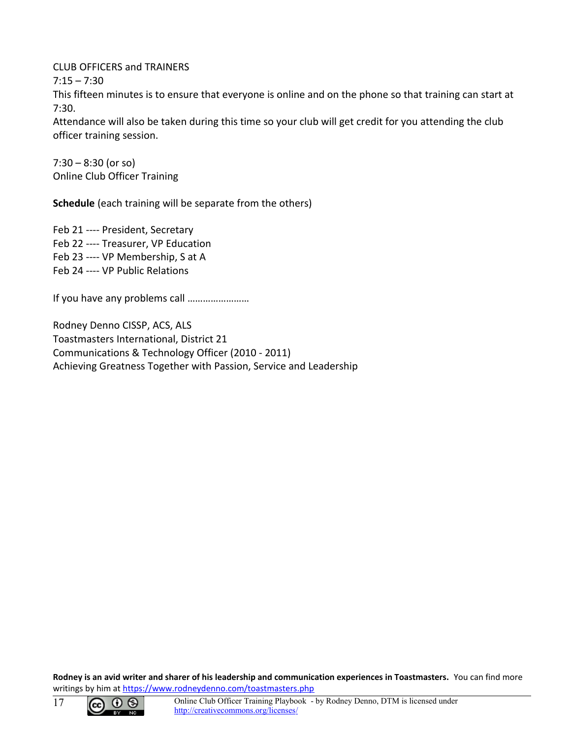CLUB OFFICERS and TRAINERS

 $7:15 - 7:30$ 

This fifteen minutes is to ensure that everyone is online and on the phone so that training can start at 7:30.

Attendance will also be taken during this time so your club will get credit for you attending the club officer training session.

7:30 – 8:30 (or so) Online Club Officer Training

**Schedule** (each training will be separate from the others)

Feb 21 ---- President, Secretary Feb 22 ---- Treasurer, VP Education Feb 23 ---- VP Membership, S at A Feb 24 ---- VP Public Relations

If you have any problems call ……………………

Rodney Denno CISSP, ACS, ALS Toastmasters International, District 21 Communications & Technology Officer (2010 - 2011) Achieving Greatness Together with Passion, Service and Leadership